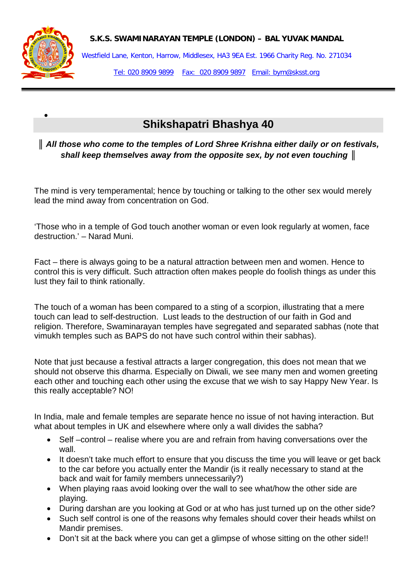



•

Westfield Lane, Kenton, Harrow, Middlesex, HA3 9EA Est. 1966 Charity Reg. No. 271034 Tel: 020 8909 9899 Fax: 020 8909 9897 Email: bym@sksst.org

## **Shikshapatri Bhashya 40**

## *║ All those who come to the temples of Lord Shree Krishna either daily or on festivals, shall keep themselves away from the opposite sex, by not even touching ║*

The mind is very temperamental; hence by touching or talking to the other sex would merely lead the mind away from concentration on God.

'Those who in a temple of God touch another woman or even look regularly at women, face destruction.' – Narad Muni.

Fact – there is always going to be a natural attraction between men and women. Hence to control this is very difficult. Such attraction often makes people do foolish things as under this lust they fail to think rationally.

The touch of a woman has been compared to a sting of a scorpion, illustrating that a mere touch can lead to self-destruction. Lust leads to the destruction of our faith in God and religion. Therefore, Swaminarayan temples have segregated and separated sabhas (note that vimukh temples such as BAPS do not have such control within their sabhas).

Note that just because a festival attracts a larger congregation, this does not mean that we should not observe this dharma. Especially on Diwali, we see many men and women greeting each other and touching each other using the excuse that we wish to say Happy New Year. Is this really acceptable? NO!

In India, male and female temples are separate hence no issue of not having interaction. But what about temples in UK and elsewhere where only a wall divides the sabha?

- Self –control realise where you are and refrain from having conversations over the wall.
- It doesn't take much effort to ensure that you discuss the time you will leave or get back to the car before you actually enter the Mandir (is it really necessary to stand at the back and wait for family members unnecessarily?)
- When playing raas avoid looking over the wall to see what/how the other side are playing.
- During darshan are you looking at God or at who has just turned up on the other side?
- Such self control is one of the reasons why females should cover their heads whilst on Mandir premises.
- Don't sit at the back where you can get a glimpse of whose sitting on the other side!!